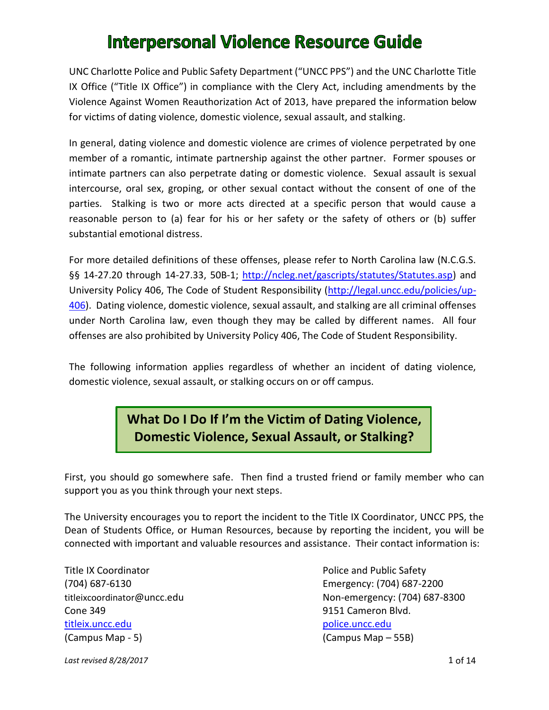UNC Charlotte Police and Public Safety Department ("UNCC PPS") and the UNC Charlotte Title IX Office ("Title IX Office") in compliance with the Clery Act, including amendments by the Violence Against Women Reauthorization Act of 2013, have prepared the information below for victims of dating violence, domestic violence, sexual assault, and stalking.

In general, dating violence and domestic violence are crimes of violence perpetrated by one member of a romantic, intimate partnership against the other partner. Former spouses or intimate partners can also perpetrate dating or domestic violence. Sexual assault is sexual intercourse, oral sex, groping, or other sexual contact without the consent of one of the parties. Stalking is two or more acts directed at a specific person that would cause a reasonable person to (a) fear for his or her safety or the safety of others or (b) suffer substantial emotional distress.

For more detailed definitions of these offenses, please refer to North Carolina law (N.C.G.S. §§ 14-27.20 through 14-27.33, 50B-1; [http://ncleg.net/gascripts/statutes/Statutes.asp\)](http://ncleg.net/gascripts/statutes/Statutes.asp) and University Policy 406, The Code of Student Responsibility [\(http://legal.uncc.edu/policies/up-](http://legal.uncc.edu/policies/up-406)[406\)](http://legal.uncc.edu/policies/up-406). Dating violence, domestic violence, sexual assault, and stalking are all criminal offenses under North Carolina law, even though they may be called by different names. All four offenses are also prohibited by University Policy 406, The Code of Student Responsibility.

The following information applies regardless of whether an incident of dating violence, domestic violence, sexual assault, or stalking occurs on or off campus.

### **What Do I Do If I'm the Victim of Dating Violence, Domestic Violence, Sexual Assault, or Stalking?**

First, you should go somewhere safe. Then find a trusted friend or family member who can support you as you think through your next steps.

The University encourages you to report the incident to the Title IX Coordinator, UNCC PPS, the Dean of Students Office, or Human Resources, because by reporting the incident, you will be connected with important and valuable resources and assistance. Their contact information is:

Title IX Coordinator The Police and Public Safety Cone 349 **9151 Cameron Blvd.** [titleix.uncc.edu](http://titleix.uncc.edu/) [police.uncc.edu](http://police.uncc.edu/) (Campus Map - 5) (Campus Map – 55B)

(704) 687-6130 Emergency: (704) 687-2200 titleixcoordinator@uncc.edu Mon-emergency: (704) 687-8300

**Last revised 8/28/2017** 1 of 14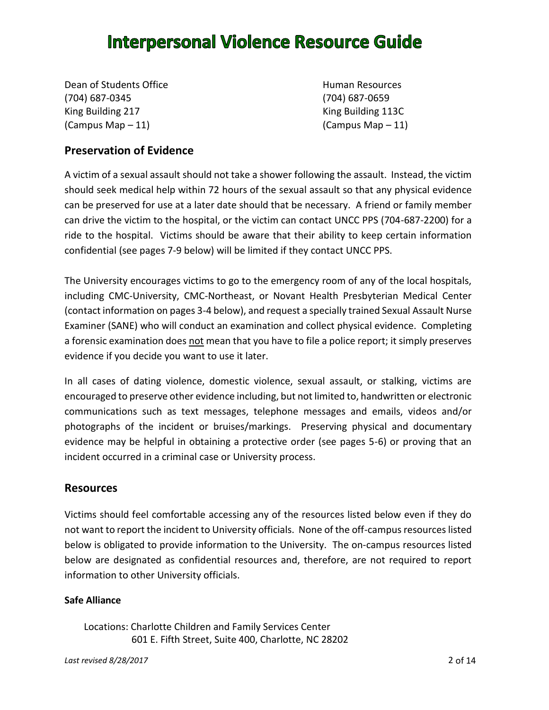Dean of Students Office **Human Resources** (704) 687-0345 (704) 687-0659 King Building 217 King Building 113C  $($ Campus Map – 11)  $($  Campus Map – 11)

### **Preservation of Evidence**

A victim of a sexual assault should not take a shower following the assault. Instead, the victim should seek medical help within 72 hours of the sexual assault so that any physical evidence can be preserved for use at a later date should that be necessary. A friend or family member can drive the victim to the hospital, or the victim can contact UNCC PPS (704-687-2200) for a ride to the hospital. Victims should be aware that their ability to keep certain information confidential (see pages 7-9 below) will be limited if they contact UNCC PPS.

The University encourages victims to go to the emergency room of any of the local hospitals, including CMC-University, CMC-Northeast, or Novant Health Presbyterian Medical Center (contact information on pages 3-4 below), and request a specially trained Sexual Assault Nurse Examiner (SANE) who will conduct an examination and collect physical evidence. Completing a forensic examination does not mean that you have to file a police report; it simply preserves evidence if you decide you want to use it later.

In all cases of dating violence, domestic violence, sexual assault, or stalking, victims are encouraged to preserve other evidence including, but not limited to, handwritten or electronic communications such as text messages, telephone messages and emails, videos and/or photographs of the incident or bruises/markings. Preserving physical and documentary evidence may be helpful in obtaining a protective order (see pages 5-6) or proving that an incident occurred in a criminal case or University process.

### **Resources**

Victims should feel comfortable accessing any of the resources listed below even if they do not want to report the incident to University officials. None of the off-campus resources listed below is obligated to provide information to the University. The on-campus resources listed below are designated as confidential resources and, therefore, are not required to report information to other University officials.

#### **Safe Alliance**

Locations: Charlotte Children and Family Services Center 601 E. Fifth Street, Suite 400, Charlotte, NC 28202

*Last revised 8/28/2017* 2 of 14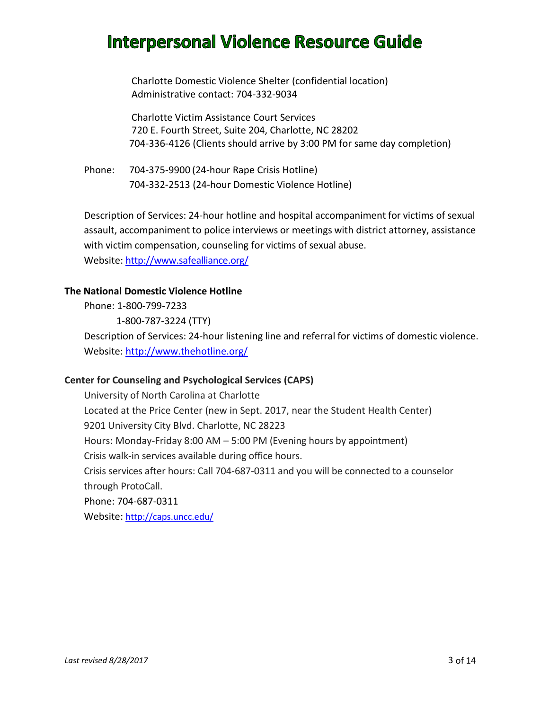Charlotte Domestic Violence Shelter (confidential location) Administrative contact: 704-332-9034

Charlotte Victim Assistance Court Services 720 E. Fourth Street, Suite 204, Charlotte, NC 28202 704-336-4126 (Clients should arrive by 3:00 PM for same day completion)

Phone: 704-375-9900 (24-hour Rape Crisis Hotline) 704-332-2513 (24-hour Domestic Violence Hotline)

Description of Services: 24-hour hotline and hospital accompaniment for victims of sexual assault, accompaniment to police interviews or meetings with district attorney, assistance with victim compensation, counseling for victims of sexual abuse. Website: <http://www.safealliance.org/>

### **The National Domestic Violence Hotline**

Phone: 1-800-799-7233

1-800-787-3224 (TTY)

Description of Services: 24-hour listening line and referral for victims of domestic violence. Website:<http://www.thehotline.org/>

### **Center for Counseling and Psychological Services (CAPS)**

University of North Carolina at Charlotte Located at the Price Center (new in Sept. 2017, near the Student Health Center) 9201 University City Blvd. Charlotte, NC 28223 Hours: Monday-Friday 8:00 AM – 5:00 PM (Evening hours by appointment) Crisis walk-in services available during office hours. Crisis services after hours: Call 704-687-0311 and you will be connected to a counselor through ProtoCall. Phone: 704-687-0311 Website: <http://caps.uncc.edu/>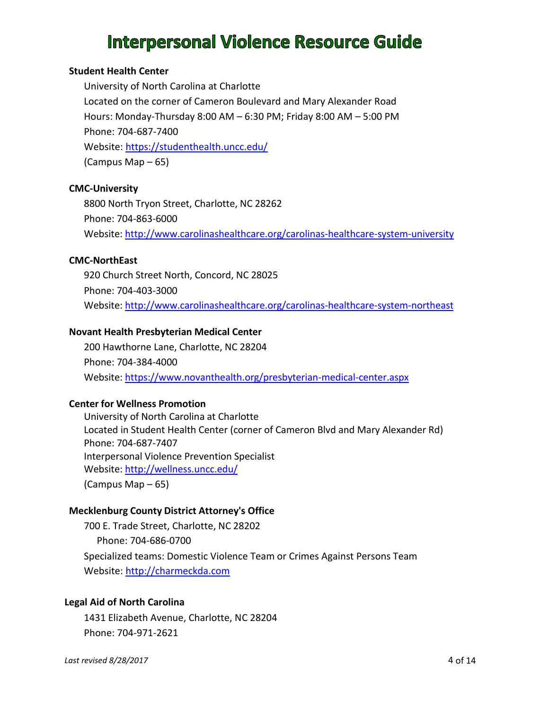#### **Student Health Center**

University of North Carolina at Charlotte Located on the corner of Cameron Boulevard and Mary Alexander Road Hours: Monday-Thursday 8:00 AM – 6:30 PM; Friday 8:00 AM – 5:00 PM Phone: 704-687-7400 Website: <https://studenthealth.uncc.edu/> (Campus Map – 65)

#### **CMC-University**

8800 North Tryon Street, Charlotte, NC 28262 Phone: 704-863-6000 Website:<http://www.carolinashealthcare.org/carolinas-healthcare-system-university>

#### **CMC-NorthEast**

920 Church Street North, Concord, NC 28025 Phone: 704-403-3000 Website:<http://www.carolinashealthcare.org/carolinas-healthcare-system-northeast>

#### **Novant Health Presbyterian Medical Center**

200 Hawthorne Lane, Charlotte, NC 28204 Phone: 704-384-4000 Website:<https://www.novanthealth.org/presbyterian-medical-center.aspx>

### **Center for Wellness Promotion**

University of North Carolina at Charlotte Located in Student Health Center (corner of Cameron Blvd and Mary Alexander Rd) Phone: 704-687-7407 Interpersonal Violence Prevention Specialist Website: <http://wellness.uncc.edu/> (Campus Map – 65)

#### **Mecklenburg County District Attorney's Office**

700 E. Trade Street, Charlotte, NC 28202 Phone: 704-686-0700 Specialized teams: Domestic Violence Team or Crimes Against Persons Team Website: [http://charmeckda.com](http://charmeckda.com/index.html)

#### **Legal Aid of North Carolina**

1431 Elizabeth Avenue, Charlotte, NC 28204 Phone: 704-971-2621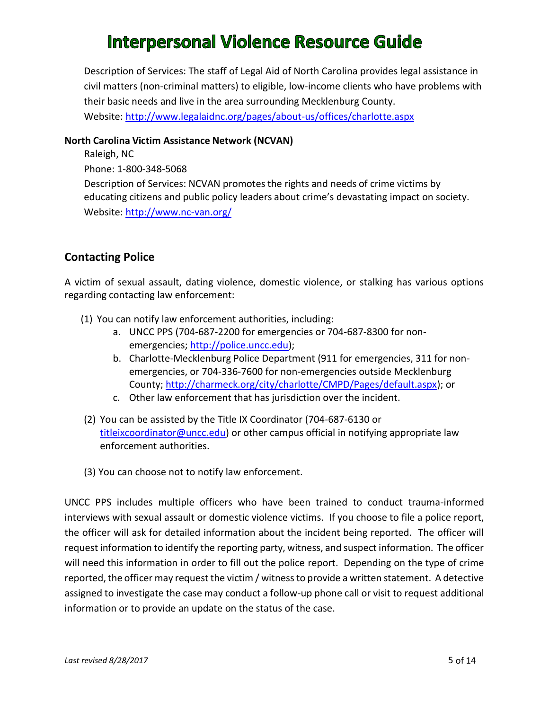Description of Services: The staff of Legal Aid of North Carolina provides legal assistance in civil matters (non-criminal matters) to eligible, low-income clients who have problems with their basic needs and live in the area surrounding Mecklenburg County. Website:<http://www.legalaidnc.org/pages/about-us/offices/charlotte.aspx>

#### **North Carolina Victim Assistance Network (NCVAN)**

Raleigh, NC Phone: 1-800-348-5068 Description of Services: NCVAN promotesthe rights and needs of crime victims by educating citizens and public policy leaders about crime's devastating impact on society. Website:<http://www.nc-van.org/>

### **Contacting Police**

A victim of sexual assault, dating violence, domestic violence, or stalking has various options regarding contacting law enforcement:

- (1) You can notify law enforcement authorities, including:
	- a. UNCC PPS (704-687-2200 for emergencies or 704-687-8300 for nonemergencies; [http://police.uncc.edu\)](http://police.uncc.edu/);
	- b. Charlotte-Mecklenburg Police Department (911 for emergencies, 311 for nonemergencies, or 704-336-7600 for non-emergencies outside Mecklenburg County[; http://charmeck.org/city/charlotte/CMPD/Pages/default.aspx\)](http://charmeck.org/city/charlotte/CMPD/Pages/default.aspx); or
	- c. Other law enforcement that has jurisdiction over the incident.
- (2) You can be assisted by the Title IX Coordinator (704-687-6130 or [titleixcoordinator@uncc.edu\)](mailto:titleixcoordinator@uncc.edu) or other campus official in notifying appropriate law enforcement authorities.
- (3) You can choose not to notify law enforcement.

UNCC PPS includes multiple officers who have been trained to conduct trauma-informed interviews with sexual assault or domestic violence victims. If you choose to file a police report, the officer will ask for detailed information about the incident being reported. The officer will request information to identify the reporting party, witness, and suspect information. The officer will need this information in order to fill out the police report. Depending on the type of crime reported, the officer may request the victim / witness to provide a written statement. A detective assigned to investigate the case may conduct a follow-up phone call or visit to request additional information or to provide an update on the status of the case.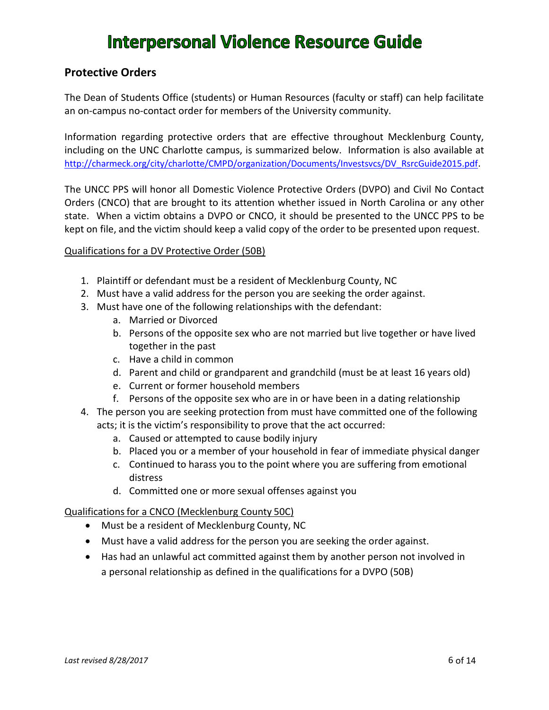### **Protective Orders**

The Dean of Students Office (students) or Human Resources (faculty or staff) can help facilitate an on-campus no-contact order for members of the University community.

Information regarding protective orders that are effective throughout Mecklenburg County, including on the UNC Charlotte campus, is summarized below. Information is also available at [http://charmeck.org/city/charlotte/CMPD/organization/Documents/Investsvcs/DV\\_RsrcGuide2015.pdf](http://charmeck.org/city/charlotte/CMPD/organization/Documents/Investsvcs/DV_RsrcGuide2015.pdf).

The UNCC PPS will honor all Domestic Violence Protective Orders (DVPO) and Civil No Contact Orders (CNCO) that are brought to its attention whether issued in North Carolina or any other state. When a victim obtains a DVPO or CNCO, it should be presented to the UNCC PPS to be kept on file, and the victim should keep a valid copy of the order to be presented upon request.

#### Qualifications for a DV Protective Order (50B)

- 1. Plaintiff or defendant must be a resident of Mecklenburg County, NC
- 2. Must have a valid address for the person you are seeking the order against.
- 3. Must have one of the following relationships with the defendant:
	- a. Married or Divorced
	- b. Persons of the opposite sex who are not married but live together or have lived together in the past
	- c. Have a child in common
	- d. Parent and child or grandparent and grandchild (must be at least 16 years old)
	- e. Current or former household members
	- f. Persons of the opposite sex who are in or have been in a dating relationship
- 4. The person you are seeking protection from must have committed one of the following acts; it is the victim's responsibility to prove that the act occurred:
	- a. Caused or attempted to cause bodily injury
	- b. Placed you or a member of your household in fear of immediate physical danger
	- c. Continued to harass you to the point where you are suffering from emotional distress
	- d. Committed one or more sexual offenses against you

#### Qualificationsfor a CNCO (Mecklenburg County 50C)

- Must be a resident of Mecklenburg County, NC
- Must have a valid address for the person you are seeking the order against.
- Has had an unlawful act committed against them by another person not involved in a personal relationship as defined in the qualifications for a DVPO (50B)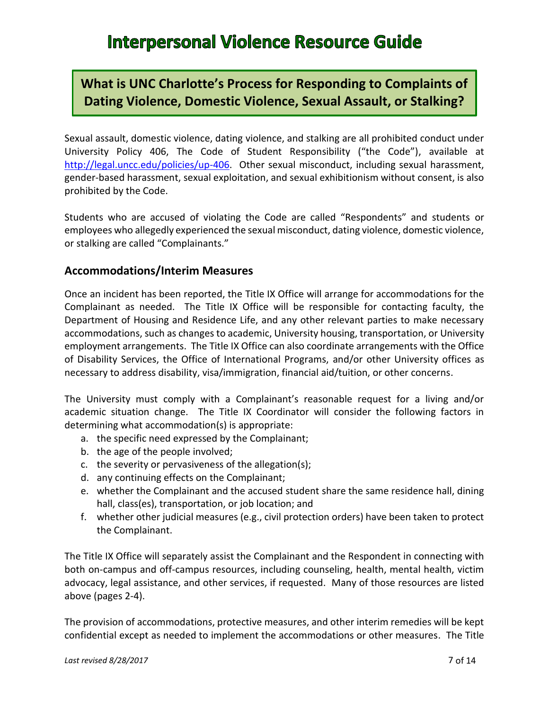### **What is UNC Charlotte's Process for Responding to Complaints of Dating Violence, Domestic Violence, Sexual Assault, or Stalking?**

Sexual assault, domestic violence, dating violence, and stalking are all prohibited conduct under University Policy 406, The Code of Student Responsibility ("the Code"), available at [http://legal.uncc.edu/policies/up-406.](http://legal.uncc.edu/policies/up-406) Other sexual misconduct, including sexual harassment, gender-based harassment, sexual exploitation, and sexual exhibitionism without consent, is also prohibited by the Code.

Students who are accused of violating the Code are called "Respondents" and students or employees who allegedly experienced the sexual misconduct, dating violence, domestic violence, or stalking are called "Complainants."

### **Accommodations/Interim Measures**

Once an incident has been reported, the Title IX Office will arrange for accommodations for the Complainant as needed. The Title IX Office will be responsible for contacting faculty, the Department of Housing and Residence Life, and any other relevant parties to make necessary accommodations, such as changes to academic, University housing, transportation, or University employment arrangements. The Title IX Office can also coordinate arrangements with the Office of Disability Services, the Office of International Programs, and/or other University offices as necessary to address disability, visa/immigration, financial aid/tuition, or other concerns.

The University must comply with a Complainant's reasonable request for a living and/or academic situation change. The Title IX Coordinator will consider the following factors in determining what accommodation(s) is appropriate:

- a. the specific need expressed by the Complainant;
- b. the age of the people involved;
- c. the severity or pervasiveness of the allegation(s);
- d. any continuing effects on the Complainant;
- e. whether the Complainant and the accused student share the same residence hall, dining hall, class(es), transportation, or job location; and
- f. whether other judicial measures (e.g., civil protection orders) have been taken to protect the Complainant.

The Title IX Office will separately assist the Complainant and the Respondent in connecting with both on-campus and off-campus resources, including counseling, health, mental health, victim advocacy, legal assistance, and other services, if requested. Many of those resources are listed above (pages 2-4).

The provision of accommodations, protective measures, and other interim remedies will be kept confidential except as needed to implement the accommodations or other measures. The Title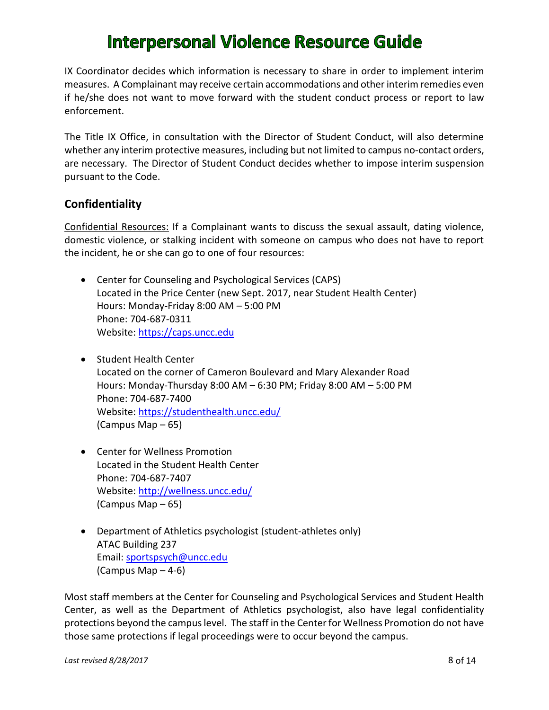IX Coordinator decides which information is necessary to share in order to implement interim measures. A Complainant may receive certain accommodations and other interim remedies even if he/she does not want to move forward with the student conduct process or report to law enforcement.

The Title IX Office, in consultation with the Director of Student Conduct, will also determine whether any interim protective measures, including but not limited to campus no-contact orders, are necessary. The Director of Student Conduct decides whether to impose interim suspension pursuant to the Code.

### **Confidentiality**

Confidential Resources: If a Complainant wants to discuss the sexual assault, dating violence, domestic violence, or stalking incident with someone on campus who does not have to report the incident, he or she can go to one of four resources:

- Center for Counseling and Psychological Services (CAPS) Located in the Price Center (new Sept. 2017, near Student Health Center) Hours: Monday-Friday 8:00 AM – 5:00 PM Phone: 704-687-0311 Website: [https://caps.uncc.edu](https://caps.uncc.edu/)
- Student Health Center Located on the corner of Cameron Boulevard and Mary Alexander Road Hours: Monday-Thursday 8:00 AM – 6:30 PM; Friday 8:00 AM – 5:00 PM Phone: 704-687-7400 Website:<https://studenthealth.uncc.edu/> (Campus Map – 65)
- Center for Wellness Promotion Located in the Student Health Center Phone: 704-687-7407 Website:<http://wellness.uncc.edu/> (Campus Map – 65)
- Department of Athletics psychologist (student-athletes only) ATAC Building 237 Email: [sportspsych@uncc.edu](mailto:sportspsych@uncc.edu) (Campus Map – 4-6)

Most staff members at the Center for Counseling and Psychological Services and Student Health Center, as well as the Department of Athletics psychologist, also have legal confidentiality protections beyond the campus level. The staff in the Center for Wellness Promotion do not have those same protections if legal proceedings were to occur beyond the campus.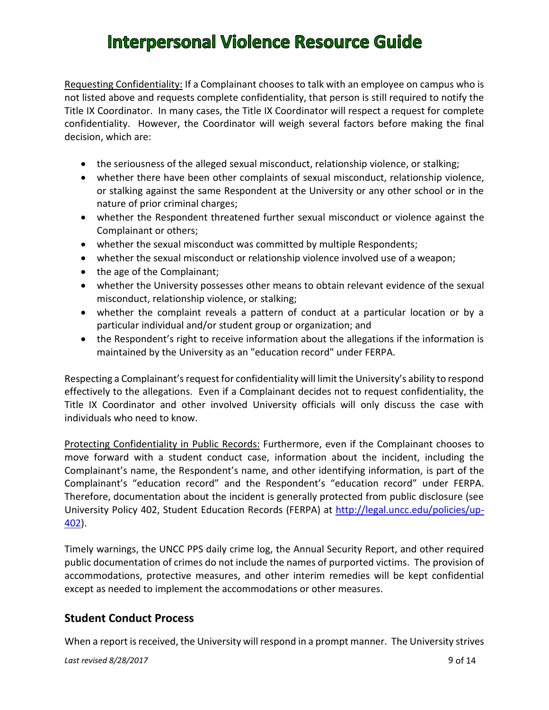Requesting Confidentiality: If a Complainant chooses to talk with an employee on campus who is not listed above and requests complete confidentiality, that person is still required to notify the Title IX Coordinator. In many cases, the Title IX Coordinator will respect a request for complete confidentiality. However, the Coordinator will weigh several factors before making the final decision, which are:

- the seriousness of the alleged sexual misconduct, relationship violence, or stalking;
- whether there have been other complaints of sexual misconduct, relationship violence, or stalking against the same Respondent at the University or any other school or in the nature of prior criminal charges;
- whether the Respondent threatened further sexual misconduct or violence against the Complainant or others;
- whether the sexual misconduct was committed by multiple Respondents;
- whether the sexual misconduct or relationship violence involved use of a weapon;
- the age of the Complainant;
- whether the University possesses other means to obtain relevant evidence of the sexual misconduct, relationship violence, or stalking;
- whether the complaint reveals a pattern of conduct at a particular location or by a particular individual and/or student group or organization; and
- the Respondent's right to receive information about the allegations if the information is maintained by the University as an "education record" under FERPA.

Respecting a Complainant's request for confidentiality will limit the University's ability to respond effectively to the allegations. Even if a Complainant decides not to request confidentiality, the Title IX Coordinator and other involved University officials will only discuss the case with individuals who need to know.

Protecting Confidentiality in Public Records: Furthermore, even if the Complainant chooses to move forward with a student conduct case, information about the incident, including the Complainant's name, the Respondent's name, and other identifying information, is part of the Complainant's "education record" and the Respondent's "education record" under FERPA. Therefore, documentation about the incident is generally protected from public disclosure (see University Policy 402, Student Education Records (FERPA) at [http://legal.uncc.edu/policies/up-](http://legal.uncc.edu/policies/up-402)[402\)](http://legal.uncc.edu/policies/up-402).

Timely warnings, the UNCC PPS daily crime log, the Annual Security Report, and other required public documentation of crimes do not include the names of purported victims. The provision of accommodations, protective measures, and other interim remedies will be kept confidential except as needed to implement the accommodations or other measures.

### **Student Conduct Process**

When a report is received, the University will respond in a prompt manner. The University strives

*Last revised 8/28/2017* 9 of 14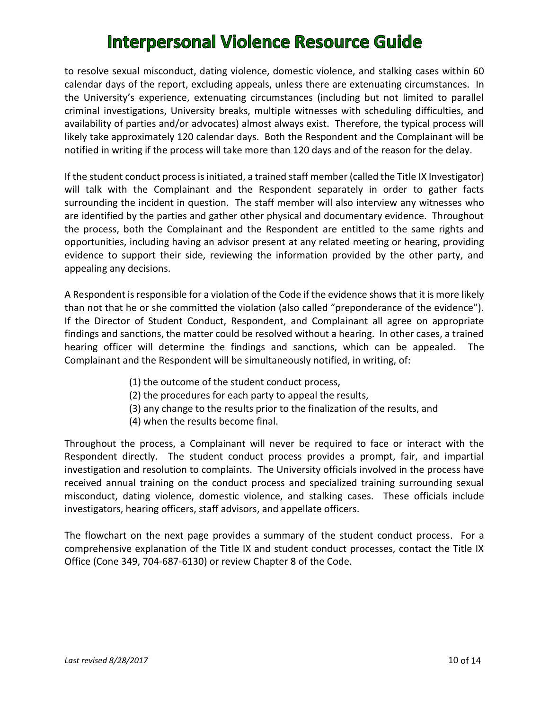to resolve sexual misconduct, dating violence, domestic violence, and stalking cases within 60 calendar days of the report, excluding appeals, unless there are extenuating circumstances. In the University's experience, extenuating circumstances (including but not limited to parallel criminal investigations, University breaks, multiple witnesses with scheduling difficulties, and availability of parties and/or advocates) almost always exist. Therefore, the typical process will likely take approximately 120 calendar days. Both the Respondent and the Complainant will be notified in writing if the process will take more than 120 days and of the reason for the delay.

If the student conduct process is initiated, a trained staff member (called the Title IX Investigator) will talk with the Complainant and the Respondent separately in order to gather facts surrounding the incident in question. The staff member will also interview any witnesses who are identified by the parties and gather other physical and documentary evidence. Throughout the process, both the Complainant and the Respondent are entitled to the same rights and opportunities, including having an advisor present at any related meeting or hearing, providing evidence to support their side, reviewing the information provided by the other party, and appealing any decisions.

A Respondent is responsible for a violation of the Code if the evidence shows that it is more likely than not that he or she committed the violation (also called "preponderance of the evidence"). If the Director of Student Conduct, Respondent, and Complainant all agree on appropriate findings and sanctions, the matter could be resolved without a hearing. In other cases, a trained hearing officer will determine the findings and sanctions, which can be appealed. The Complainant and the Respondent will be simultaneously notified, in writing, of:

- (1) the outcome of the student conduct process,
- (2) the procedures for each party to appeal the results,
- (3) any change to the results prior to the finalization of the results, and
- (4) when the results become final.

Throughout the process, a Complainant will never be required to face or interact with the Respondent directly. The student conduct process provides a prompt, fair, and impartial investigation and resolution to complaints. The University officials involved in the process have received annual training on the conduct process and specialized training surrounding sexual misconduct, dating violence, domestic violence, and stalking cases. These officials include investigators, hearing officers, staff advisors, and appellate officers.

The flowchart on the next page provides a summary of the student conduct process. For a comprehensive explanation of the Title IX and student conduct processes, contact the Title IX Office (Cone 349, 704-687-6130) or review Chapter 8 of the Code.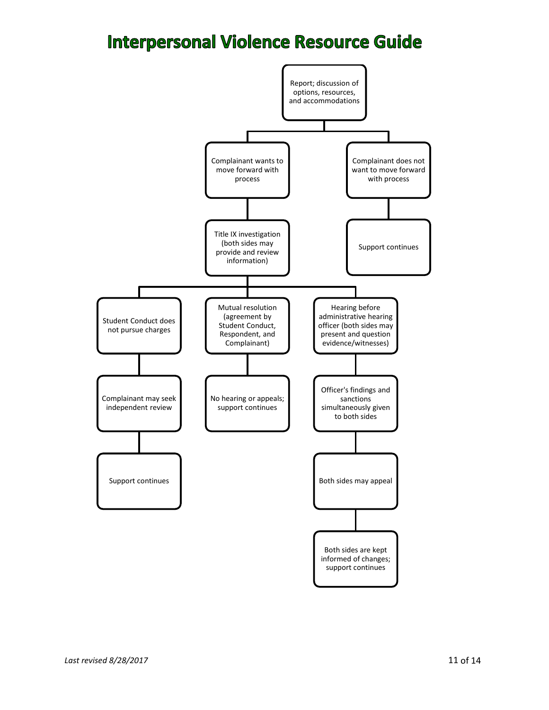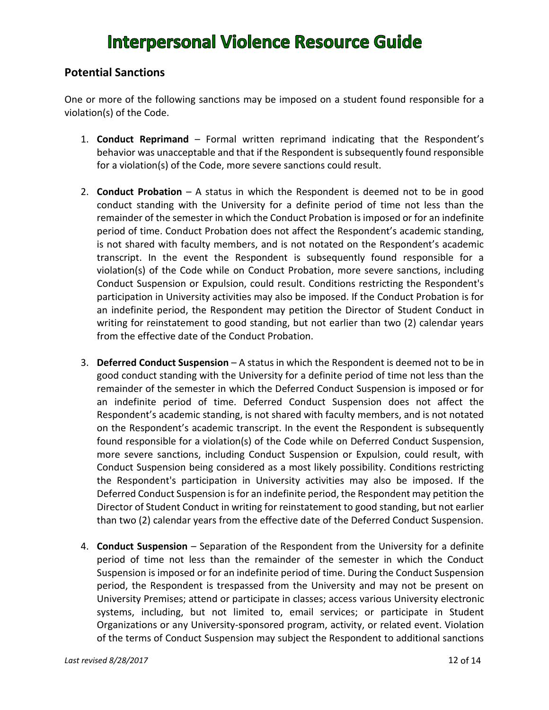### **Potential Sanctions**

One or more of the following sanctions may be imposed on a student found responsible for a violation(s) of the Code.

- 1. **Conduct Reprimand** Formal written reprimand indicating that the Respondent's behavior was unacceptable and that if the Respondent is subsequently found responsible for a violation(s) of the Code, more severe sanctions could result.
- 2. **Conduct Probation** A status in which the Respondent is deemed not to be in good conduct standing with the University for a definite period of time not less than the remainder of the semester in which the Conduct Probation is imposed or for an indefinite period of time. Conduct Probation does not affect the Respondent's academic standing, is not shared with faculty members, and is not notated on the Respondent's academic transcript. In the event the Respondent is subsequently found responsible for a violation(s) of the Code while on Conduct Probation, more severe sanctions, including Conduct Suspension or Expulsion, could result. Conditions restricting the Respondent's participation in University activities may also be imposed. If the Conduct Probation is for an indefinite period, the Respondent may petition the Director of Student Conduct in writing for reinstatement to good standing, but not earlier than two (2) calendar years from the effective date of the Conduct Probation.
- 3. **Deferred Conduct Suspension** A status in which the Respondent is deemed not to be in good conduct standing with the University for a definite period of time not less than the remainder of the semester in which the Deferred Conduct Suspension is imposed or for an indefinite period of time. Deferred Conduct Suspension does not affect the Respondent's academic standing, is not shared with faculty members, and is not notated on the Respondent's academic transcript. In the event the Respondent is subsequently found responsible for a violation(s) of the Code while on Deferred Conduct Suspension, more severe sanctions, including Conduct Suspension or Expulsion, could result, with Conduct Suspension being considered as a most likely possibility. Conditions restricting the Respondent's participation in University activities may also be imposed. If the Deferred Conduct Suspension is for an indefinite period, the Respondent may petition the Director of Student Conduct in writing for reinstatement to good standing, but not earlier than two (2) calendar years from the effective date of the Deferred Conduct Suspension.
- 4. **Conduct Suspension** Separation of the Respondent from the University for a definite period of time not less than the remainder of the semester in which the Conduct Suspension is imposed or for an indefinite period of time. During the Conduct Suspension period, the Respondent is trespassed from the University and may not be present on University Premises; attend or participate in classes; access various University electronic systems, including, but not limited to, email services; or participate in Student Organizations or any University-sponsored program, activity, or related event. Violation of the terms of Conduct Suspension may subject the Respondent to additional sanctions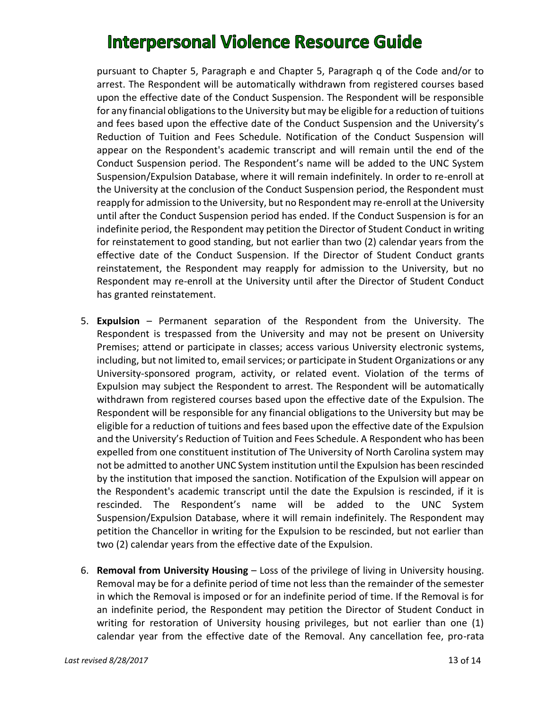pursuant to Chapter 5, Paragraph e and Chapter 5, Paragraph q of the Code and/or to arrest. The Respondent will be automatically withdrawn from registered courses based upon the effective date of the Conduct Suspension. The Respondent will be responsible for any financial obligations to the University but may be eligible for a reduction of tuitions and fees based upon the effective date of the Conduct Suspension and the University's Reduction of Tuition and Fees Schedule. Notification of the Conduct Suspension will appear on the Respondent's academic transcript and will remain until the end of the Conduct Suspension period. The Respondent's name will be added to the UNC System Suspension/Expulsion Database, where it will remain indefinitely. In order to re-enroll at the University at the conclusion of the Conduct Suspension period, the Respondent must reapply for admission to the University, but no Respondent may re-enroll at the University until after the Conduct Suspension period has ended. If the Conduct Suspension is for an indefinite period, the Respondent may petition the Director of Student Conduct in writing for reinstatement to good standing, but not earlier than two (2) calendar years from the effective date of the Conduct Suspension. If the Director of Student Conduct grants reinstatement, the Respondent may reapply for admission to the University, but no Respondent may re-enroll at the University until after the Director of Student Conduct has granted reinstatement.

- 5. **Expulsion** Permanent separation of the Respondent from the University. The Respondent is trespassed from the University and may not be present on University Premises; attend or participate in classes; access various University electronic systems, including, but not limited to, email services; or participate in Student Organizations or any University-sponsored program, activity, or related event. Violation of the terms of Expulsion may subject the Respondent to arrest. The Respondent will be automatically withdrawn from registered courses based upon the effective date of the Expulsion. The Respondent will be responsible for any financial obligations to the University but may be eligible for a reduction of tuitions and fees based upon the effective date of the Expulsion and the University's Reduction of Tuition and Fees Schedule. A Respondent who has been expelled from one constituent institution of The University of North Carolina system may not be admitted to another UNC System institution until the Expulsion has been rescinded by the institution that imposed the sanction. Notification of the Expulsion will appear on the Respondent's academic transcript until the date the Expulsion is rescinded, if it is rescinded. The Respondent's name will be added to the UNC System Suspension/Expulsion Database, where it will remain indefinitely. The Respondent may petition the Chancellor in writing for the Expulsion to be rescinded, but not earlier than two (2) calendar years from the effective date of the Expulsion.
- 6. **Removal from University Housing** Loss of the privilege of living in University housing. Removal may be for a definite period of time not less than the remainder of the semester in which the Removal is imposed or for an indefinite period of time. If the Removal is for an indefinite period, the Respondent may petition the Director of Student Conduct in writing for restoration of University housing privileges, but not earlier than one (1) calendar year from the effective date of the Removal. Any cancellation fee, pro-rata